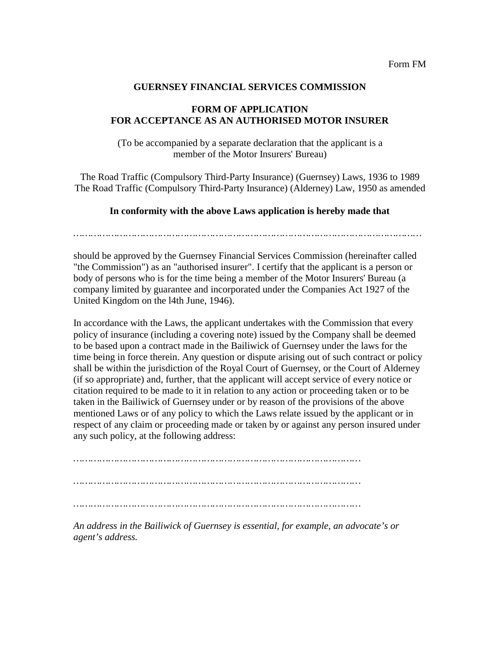## **GUERNSEY FINANCIAL SERVICES COMMISSION**

## **FORM OF APPLICATION FOR ACCEPTANCE AS AN AUTHORISED MOTOR INSURER**

(To be accompanied by a separate declaration that the applicant is a member of the Motor Insurers' Bureau)

The Road Traffic (Compulsory Third-Party Insurance) (Guernsey) Laws, 1936 to 1989 The Road Traffic (Compulsory Third-Party Insurance) (Alderney) Law, 1950 as amended

## **In conformity with the above Laws application is hereby made that**

should be approved by the Guernsey Financial Services Commission (hereinafter called "the Commission") as an "authorised insurer". I certify that the applicant is a person or body of persons who is for the time being a member of the Motor Insurers' Bureau (a company limited by guarantee and incorporated under the Companies Act 1927 of the United Kingdom on the l4th June, 1946).

In accordance with the Laws, the applicant undertakes with the Commission that every policy of insurance (including a covering note) issued by the Company shall be deemed to be based upon a contract made in the Bailiwick of Guernsey under the laws for the time being in force therein. Any question or dispute arising out of such contract or policy shall be within the jurisdiction of the Royal Court of Guernsey, or the Court of Alderney (if so appropriate) and, further, that the applicant will accept service of every notice or citation required to be made to it in relation to any action or proceeding taken or to be taken in the Bailiwick of Guernsey under or by reason of the provisions of the above mentioned Laws or of any policy to which the Laws relate issued by the applicant or in respect of any claim or proceeding made or taken by or against any person insured under any such policy, at the following address:

*……………………………………………………………………………………… ……………………………………………………………………………………… ………………………………………………………………………………………*

*An address in the Bailiwick of Guernsey is essential, for example, an advocate's or agent's address.*